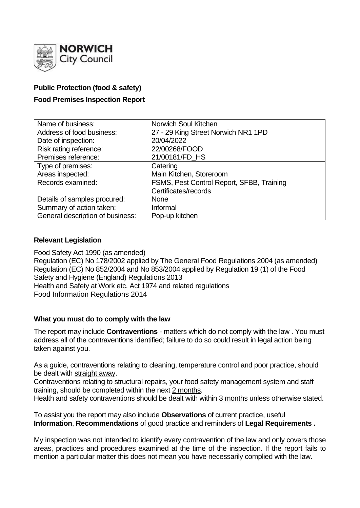

# **Public Protection (food & safety)**

# **Food Premises Inspection Report**

| Name of business:                | Norwich Soul Kitchen                      |
|----------------------------------|-------------------------------------------|
| Address of food business:        | 27 - 29 King Street Norwich NR1 1PD       |
| Date of inspection:              | 20/04/2022                                |
| Risk rating reference:           | 22/00268/FOOD                             |
| Premises reference:              | 21/00181/FD_HS                            |
| Type of premises:                | Catering                                  |
| Areas inspected:                 | Main Kitchen, Storeroom                   |
| Records examined:                | FSMS, Pest Control Report, SFBB, Training |
|                                  | Certificates/records                      |
| Details of samples procured:     | <b>None</b>                               |
| Summary of action taken:         | Informal                                  |
| General description of business: | Pop-up kitchen                            |

## **Relevant Legislation**

Food Safety Act 1990 (as amended) Regulation (EC) No 178/2002 applied by The General Food Regulations 2004 (as amended) Regulation (EC) No 852/2004 and No 853/2004 applied by Regulation 19 (1) of the Food Safety and Hygiene (England) Regulations 2013 Health and Safety at Work etc. Act 1974 and related regulations Food Information Regulations 2014

### **What you must do to comply with the law**

The report may include **Contraventions** - matters which do not comply with the law . You must address all of the contraventions identified; failure to do so could result in legal action being taken against you.

As a guide, contraventions relating to cleaning, temperature control and poor practice, should be dealt with straight away.

Contraventions relating to structural repairs, your food safety management system and staff training, should be completed within the next 2 months.

Health and safety contraventions should be dealt with within 3 months unless otherwise stated.

To assist you the report may also include **Observations** of current practice, useful **Information**, **Recommendations** of good practice and reminders of **Legal Requirements .**

My inspection was not intended to identify every contravention of the law and only covers those areas, practices and procedures examined at the time of the inspection. If the report fails to mention a particular matter this does not mean you have necessarily complied with the law.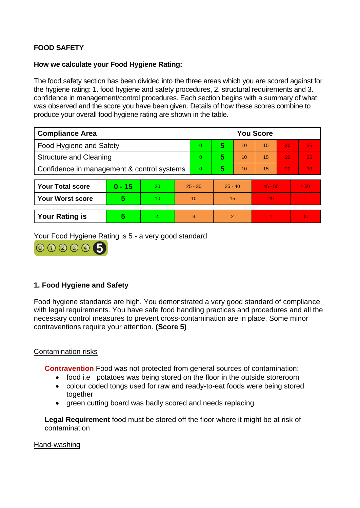# **FOOD SAFETY**

### **How we calculate your Food Hygiene Rating:**

The food safety section has been divided into the three areas which you are scored against for the hygiene rating: 1. food hygiene and safety procedures, 2. structural requirements and 3. confidence in management/control procedures. Each section begins with a summary of what was observed and the score you have been given. Details of how these scores combine to produce your overall food hygiene rating are shown in the table.

| <b>Compliance Area</b>                     |          |    |           | <b>You Score</b> |               |    |           |    |                 |
|--------------------------------------------|----------|----|-----------|------------------|---------------|----|-----------|----|-----------------|
| <b>Food Hygiene and Safety</b>             |          |    |           | 0                | 5             | 10 | 15        | 20 | 25              |
| <b>Structure and Cleaning</b>              |          |    |           | 0                | 5             | 10 | 15        | 20 | 25              |
| Confidence in management & control systems |          |    |           | 0                | 5             | 10 | 15        | 20 | 30 <sub>1</sub> |
|                                            |          |    |           |                  |               |    |           |    |                 |
| <b>Your Total score</b>                    | $0 - 15$ | 20 | $25 - 30$ |                  | $35 - 40$     |    | $45 - 50$ |    | $>$ 50.         |
| <b>Your Worst score</b>                    | 5        | 10 | 10        |                  | 15            |    | 20        |    |                 |
|                                            |          |    |           |                  |               |    |           |    |                 |
| <b>Your Rating is</b>                      | 5        |    |           | 3                | $\mathcal{P}$ |    |           |    | $\Omega$        |

Your Food Hygiene Rating is 5 - a very good standard



## **1. Food Hygiene and Safety**

Food hygiene standards are high. You demonstrated a very good standard of compliance with legal requirements. You have safe food handling practices and procedures and all the necessary control measures to prevent cross-contamination are in place. Some minor contraventions require your attention. **(Score 5)**

## Contamination risks

**Contravention** Food was not protected from general sources of contamination:

- food i.e potatoes was being stored on the floor in the outside storeroom
- colour coded tongs used for raw and ready-to-eat foods were being stored together
- green cutting board was badly scored and needs replacing

**Legal Requirement** food must be stored off the floor where it might be at risk of contamination

Hand-washing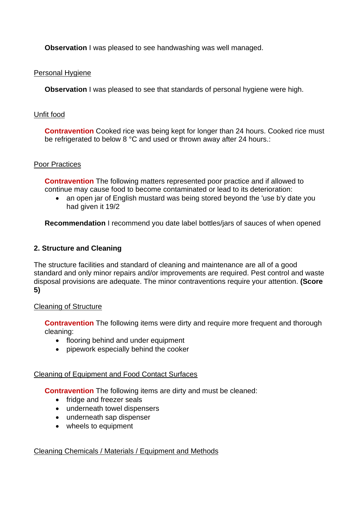**Observation I** was pleased to see handwashing was well managed.

## Personal Hygiene

**Observation** I was pleased to see that standards of personal hygiene were high.

### Unfit food

**Contravention** Cooked rice was being kept for longer than 24 hours. Cooked rice must be refrigerated to below 8 °C and used or thrown away after 24 hours.:

### Poor Practices

**Contravention** The following matters represented poor practice and if allowed to continue may cause food to become contaminated or lead to its deterioration:

• an open jar of English mustard was being stored beyond the 'use b'y date you had given it 19/2

**Recommendation** I recommend you date label bottles/jars of sauces of when opened

### **2. Structure and Cleaning**

The structure facilities and standard of cleaning and maintenance are all of a good standard and only minor repairs and/or improvements are required. Pest control and waste disposal provisions are adequate. The minor contraventions require your attention. **(Score 5)**

### Cleaning of Structure

**Contravention** The following items were dirty and require more frequent and thorough cleaning:

- flooring behind and under equipment
- pipework especially behind the cooker

### Cleaning of Equipment and Food Contact Surfaces

**Contravention** The following items are dirty and must be cleaned:

- fridge and freezer seals
- underneath towel dispensers
- underneath sap dispenser
- wheels to equipment

### Cleaning Chemicals / Materials / Equipment and Methods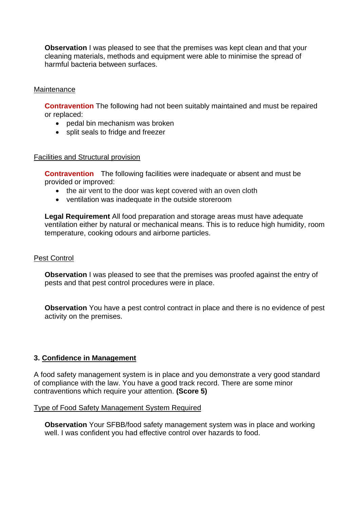**Observation** I was pleased to see that the premises was kept clean and that your cleaning materials, methods and equipment were able to minimise the spread of harmful bacteria between surfaces.

### **Maintenance**

**Contravention** The following had not been suitably maintained and must be repaired or replaced:

- pedal bin mechanism was broken
- split seals to fridge and freezer

#### Facilities and Structural provision

**Contravention** The following facilities were inadequate or absent and must be provided or improved:

- the air vent to the door was kept covered with an oven cloth
- ventilation was inadequate in the outside storeroom

**Legal Requirement** All food preparation and storage areas must have adequate ventilation either by natural or mechanical means. This is to reduce high humidity, room temperature, cooking odours and airborne particles.

#### Pest Control

**Observation** I was pleased to see that the premises was proofed against the entry of pests and that pest control procedures were in place.

**Observation** You have a pest control contract in place and there is no evidence of pest activity on the premises.

### **3. Confidence in Management**

A food safety management system is in place and you demonstrate a very good standard of compliance with the law. You have a good track record. There are some minor contraventions which require your attention. **(Score 5)**

#### Type of Food Safety Management System Required

**Observation** Your SFBB/food safety management system was in place and working well. I was confident you had effective control over hazards to food.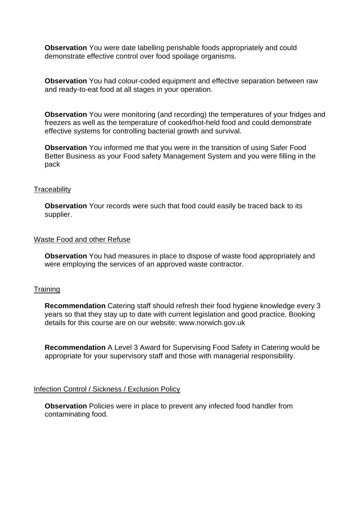**Observation** You were date labelling perishable foods appropriately and could demonstrate effective control over food spoilage organisms.

**Observation** You had colour-coded equipment and effective separation between raw and ready-to-eat food at all stages in your operation.

**Observation** You were monitoring (and recording) the temperatures of your fridges and freezers as well as the temperature of cooked/hot-held food and could demonstrate effective systems for controlling bacterial growth and survival.

**Observation** You informed me that you were in the transition of using Safer Food Better Business as your Food safety Management System and you were filling in the pack

#### **Traceability**

**Observation** Your records were such that food could easily be traced back to its supplier.

#### Waste Food and other Refuse

**Observation** You had measures in place to dispose of waste food appropriately and were employing the services of an approved waste contractor.

#### **Training**

**Recommendation** Catering staff should refresh their food hygiene knowledge every 3 years so that they stay up to date with current legislation and good practice. Booking details for this course are on our website: www.norwich.gov.uk

**Recommendation** A Level 3 Award for Supervising Food Safety in Catering would be appropriate for your supervisory staff and those with managerial responsibility.

#### Infection Control / Sickness / Exclusion Policy

**Observation** Policies were in place to prevent any infected food handler from contaminating food.